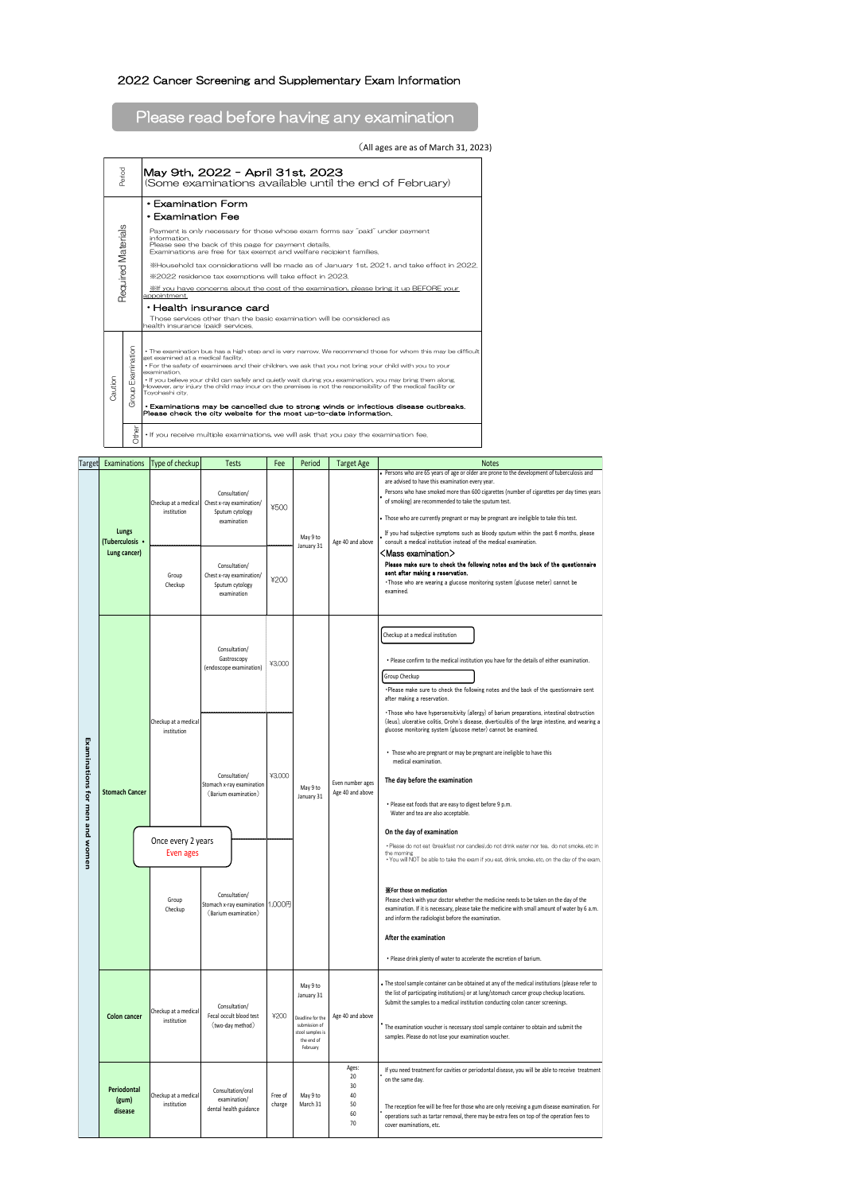## 2022 Cancer Screening and Supplementary Exam Information

## Please read before having any examination

## (All ages are as of March 31, 2023)

| Period                    |                      | May 9th, 2022 - April 31st, 2023<br>(Some examinations available until the end of February)                                                                                                                                                                                                                                                                                                                                                                                                                                                                                                                                                                                                 |  |  |  |  |  |  |  |  |
|---------------------------|----------------------|---------------------------------------------------------------------------------------------------------------------------------------------------------------------------------------------------------------------------------------------------------------------------------------------------------------------------------------------------------------------------------------------------------------------------------------------------------------------------------------------------------------------------------------------------------------------------------------------------------------------------------------------------------------------------------------------|--|--|--|--|--|--|--|--|
| <b>Required Materials</b> |                      | $\cdot$ Examination Form<br>• Examination Fee<br>Payment is only necessary for those whose exam forms say "paid" under payment<br>information.<br>Please see the back of this page for payment details.<br>Examinations are free for tax exempt and welfare recipient families.<br>%2022 residence tax exemptions will take effect in 2023.<br>Xif you have concerns about the cost of the examination, please bring it up BEFORE your<br>appointment.<br>$\cdot$ Health insurance card<br>Those services other than the basic examination will be considered as<br>health insurance (paid) services.                                                                                       |  |  |  |  |  |  |  |  |
| Caution                   | Examination<br>Group | • The examination bus has a high step and is very narrow. We recommend those for whom this may be difficult<br>get examined at a medical facility.<br>. For the safety of examinees and their children, we ask that you not bring your child with you to your<br>examination.<br>. If you believe your child can safely and quietly wait during you examination, you may bring them along.<br>However, any injury the child may incur on the premises is not the responsibility of the medical facility or<br>Tovohashi city.<br>• Examinations may be cancelled due to strong winds or infectious disease outbreaks.<br>Please check the city website for the most up-to-date information. |  |  |  |  |  |  |  |  |
|                           | Other                | . If you receive multiple examinations, we will ask that you pay the examination fee.                                                                                                                                                                                                                                                                                                                                                                                                                                                                                                                                                                                                       |  |  |  |  |  |  |  |  |

|                                | Target Examinations                      | Type of checkup                                            | <b>Tests</b>                                                                | Fee               | Period                                                                                        | <b>Target Age</b>                         | <b>Notes</b>                                                                                                                                                                                                                                                                                                                                                                                                                                                                                                                                                                                   |
|--------------------------------|------------------------------------------|------------------------------------------------------------|-----------------------------------------------------------------------------|-------------------|-----------------------------------------------------------------------------------------------|-------------------------------------------|------------------------------------------------------------------------------------------------------------------------------------------------------------------------------------------------------------------------------------------------------------------------------------------------------------------------------------------------------------------------------------------------------------------------------------------------------------------------------------------------------------------------------------------------------------------------------------------------|
| Examinations for men and women | Lungs<br>(Tuberculosis .<br>Lung cancer) | Checkup at a medical<br>institution                        | Consultation/<br>Chest x-ray examination/<br>Sputum cytology<br>examination | ¥500              | May 9 to<br>January 31                                                                        | Age 40 and above                          | . Persons who are 65 years of age or older are prone to the development of tuberculosis and<br>are advised to have this examination every year.<br>Persons who have smoked more than 600 cigarettes (number of cigarettes per day times years<br>of smoking) are recommended to take the sputum test.<br>. Those who are currently pregnant or may be pregnant are ineligible to take this test.<br>If you had subjective symptoms such as bloody sputum within the past 6 months, please<br>consult a medical institution instead of the medical examination.<br><mass examination=""></mass> |
|                                |                                          | Group<br>Checkup                                           | Consultation/<br>Chest x-ray examination/<br>Sputum cytology<br>examination | ¥200              |                                                                                               |                                           | Please make sure to check the following notes and the back of the questionnaire<br>sent after making a reservation.<br>. Those who are wearing a glucose monitoring system (glucose meter) cannot be<br>examined.                                                                                                                                                                                                                                                                                                                                                                              |
|                                |                                          | Checkup at a medical<br>institution                        | Consultation/<br>Gastroscopy<br>(endoscope examination)                     | ¥3,000            | May 9 to<br>January 31                                                                        | Even number ages<br>Age 40 and above      | Checkup at a medical institution<br>. Please confirm to the medical institution you have for the details of either examination.<br>Group Checkup<br>.Please make sure to check the following notes and the back of the questionnaire sent<br>after making a reservation.                                                                                                                                                                                                                                                                                                                       |
|                                | <b>Stomach Cancer</b>                    |                                                            | Consultation/<br>Stomach x-ray examination<br>(Barium examination)          | ¥3,000            |                                                                                               |                                           | . Those who have hypersensitivity (allergy) of barium preparations, intestinal obstruction<br>(ileus), ulcerative colitis, Crohn's disease, diverticulitis of the large intestine, and wearing a<br>glucose monitoring system (glucose meter) cannot be examined.<br>• Those who are pregnant or may be pregnant are ineligible to have this<br>medical examination.<br>The day before the examination<br>. Please eat foods that are easy to digest before 9 p.m.<br>Water and tea are also acceptable.                                                                                       |
|                                |                                          | Once every 2 years<br><b>Even ages</b><br>Group<br>Checkup | Consultation/<br>Stomach x-ray examination<br>(Barium examination)          | 1,000円            |                                                                                               |                                           | On the day of examination<br>· Please do not eat Ibreakfast nor candies) do not drink water nor tea, do not smoke, etc in<br>the morning<br>. You will NOT be able to take the exam if you eat, drink, smoke, etc, on the day of the exam,<br><b>X</b> For those on medication<br>Please check with your doctor whether the medicine needs to be taken on the day of the<br>examination. If it is necessary, please take the medicine with small amount of water by 6 a.m.<br>and inform the radiologist before the examination.<br>After the examination                                      |
|                                |                                          |                                                            |                                                                             |                   | May 9 to                                                                                      |                                           | . Please drink plenty of water to accelerate the excretion of barium.<br>. The stool sample container can be obtained at any of the medical institutions (please refer to                                                                                                                                                                                                                                                                                                                                                                                                                      |
|                                | <b>Colon cancer</b>                      | Checkup at a medical<br>institution                        | Consultation/<br>Fecal occult blood test<br>(two-day method)                | ¥200              | January 31<br>Deadline for the<br>submission of<br>stool samples is<br>the end of<br>February | Age 40 and above                          | the list of participating institutions) or at lung/stomach cancer group checkup locations.<br>Submit the samples to a medical institution conducting colon cancer screenings.<br>The examination voucher is necessary stool sample container to obtain and submit the<br>samples. Please do not lose your examination voucher.                                                                                                                                                                                                                                                                 |
|                                | Periodontal<br>(gum)<br>disease          | Checkup at a medical<br>institution                        | Consultation/oral<br>examination/<br>dental health guidance                 | Free of<br>charge | May 9 to<br>March 31                                                                          | Ages:<br>20<br>30<br>40<br>50<br>60<br>70 | If you need treatment for cavities or periodontal disease, you will be able to receive treatment<br>on the same day.<br>The reception fee will be free for those who are only receiving a gum disease examination. For<br>operations such as tartar removal, there may be extra fees on top of the operation fees to<br>cover examinations, etc.                                                                                                                                                                                                                                               |